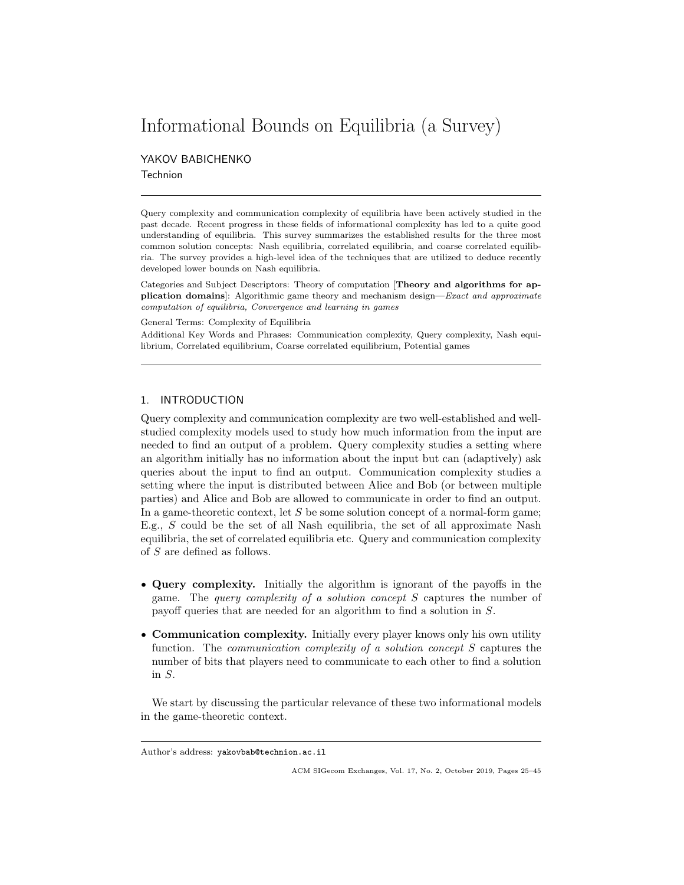# Informational Bounds on Equilibria (a Survey)

YAKOV BABICHENKO

Technion

Query complexity and communication complexity of equilibria have been actively studied in the past decade. Recent progress in these fields of informational complexity has led to a quite good understanding of equilibria. This survey summarizes the established results for the three most common solution concepts: Nash equilibria, correlated equilibria, and coarse correlated equilibria. The survey provides a high-level idea of the techniques that are utilized to deduce recently developed lower bounds on Nash equilibria.

Categories and Subject Descriptors: Theory of computation [Theory and algorithms for application domains]: Algorithmic game theory and mechanism design—Exact and approximate computation of equilibria, Convergence and learning in games

General Terms: Complexity of Equilibria

Additional Key Words and Phrases: Communication complexity, Query complexity, Nash equilibrium, Correlated equilibrium, Coarse correlated equilibrium, Potential games

# 1. INTRODUCTION

Query complexity and communication complexity are two well-established and wellstudied complexity models used to study how much information from the input are needed to find an output of a problem. Query complexity studies a setting where an algorithm initially has no information about the input but can (adaptively) ask queries about the input to find an output. Communication complexity studies a setting where the input is distributed between Alice and Bob (or between multiple parties) and Alice and Bob are allowed to communicate in order to find an output. In a game-theoretic context, let  $S$  be some solution concept of a normal-form game; E.g., S could be the set of all Nash equilibria, the set of all approximate Nash equilibria, the set of correlated equilibria etc. Query and communication complexity of S are defined as follows.

- Query complexity. Initially the algorithm is ignorant of the payoffs in the game. The query complexity of a solution concept S captures the number of payoff queries that are needed for an algorithm to find a solution in S.
- Communication complexity. Initially every player knows only his own utility function. The *communication complexity of a solution concept* S captures the number of bits that players need to communicate to each other to find a solution in S.

We start by discussing the particular relevance of these two informational models in the game-theoretic context.

Author's address: yakovbab@technion.ac.il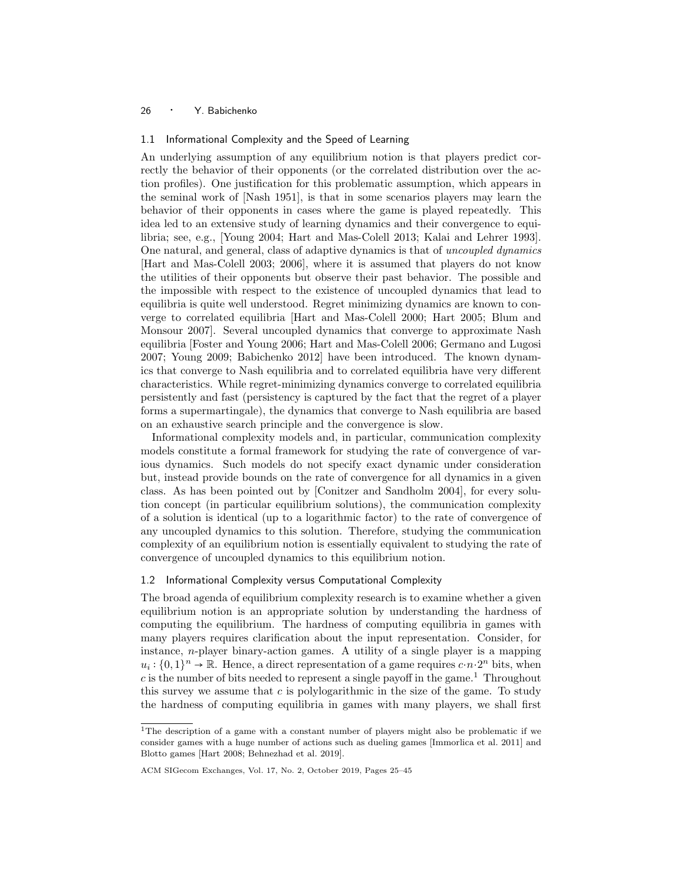## 1.1 Informational Complexity and the Speed of Learning

An underlying assumption of any equilibrium notion is that players predict correctly the behavior of their opponents (or the correlated distribution over the action profiles). One justification for this problematic assumption, which appears in the seminal work of [Nash 1951], is that in some scenarios players may learn the behavior of their opponents in cases where the game is played repeatedly. This idea led to an extensive study of learning dynamics and their convergence to equilibria; see, e.g., [Young 2004; Hart and Mas-Colell 2013; Kalai and Lehrer 1993]. One natural, and general, class of adaptive dynamics is that of uncoupled dynamics [Hart and Mas-Colell 2003; 2006], where it is assumed that players do not know the utilities of their opponents but observe their past behavior. The possible and the impossible with respect to the existence of uncoupled dynamics that lead to equilibria is quite well understood. Regret minimizing dynamics are known to converge to correlated equilibria [Hart and Mas-Colell 2000; Hart 2005; Blum and Monsour 2007]. Several uncoupled dynamics that converge to approximate Nash equilibria [Foster and Young 2006; Hart and Mas-Colell 2006; Germano and Lugosi 2007; Young 2009; Babichenko 2012] have been introduced. The known dynamics that converge to Nash equilibria and to correlated equilibria have very different characteristics. While regret-minimizing dynamics converge to correlated equilibria persistently and fast (persistency is captured by the fact that the regret of a player forms a supermartingale), the dynamics that converge to Nash equilibria are based on an exhaustive search principle and the convergence is slow.

Informational complexity models and, in particular, communication complexity models constitute a formal framework for studying the rate of convergence of various dynamics. Such models do not specify exact dynamic under consideration but, instead provide bounds on the rate of convergence for all dynamics in a given class. As has been pointed out by [Conitzer and Sandholm 2004], for every solution concept (in particular equilibrium solutions), the communication complexity of a solution is identical (up to a logarithmic factor) to the rate of convergence of any uncoupled dynamics to this solution. Therefore, studying the communication complexity of an equilibrium notion is essentially equivalent to studying the rate of convergence of uncoupled dynamics to this equilibrium notion.

## 1.2 Informational Complexity versus Computational Complexity

The broad agenda of equilibrium complexity research is to examine whether a given equilibrium notion is an appropriate solution by understanding the hardness of computing the equilibrium. The hardness of computing equilibria in games with many players requires clarification about the input representation. Consider, for instance,  $n$ -player binary-action games. A utility of a single player is a mapping  $u_i: \{0,1\}^n \to \mathbb{R}$ . Hence, a direct representation of a game requires  $c \cdot n \cdot 2^n$  bits, when  $c$  is the number of bits needed to represent a single payoff in the game.<sup>1</sup> Throughout this survey we assume that  $c$  is polylogarithmic in the size of the game. To study the hardness of computing equilibria in games with many players, we shall first

<sup>&</sup>lt;sup>1</sup>The description of a game with a constant number of players might also be problematic if we consider games with a huge number of actions such as dueling games [Immorlica et al. 2011] and Blotto games [Hart 2008; Behnezhad et al. 2019].

ACM SIGecom Exchanges, Vol. 17, No. 2, October 2019, Pages 25–45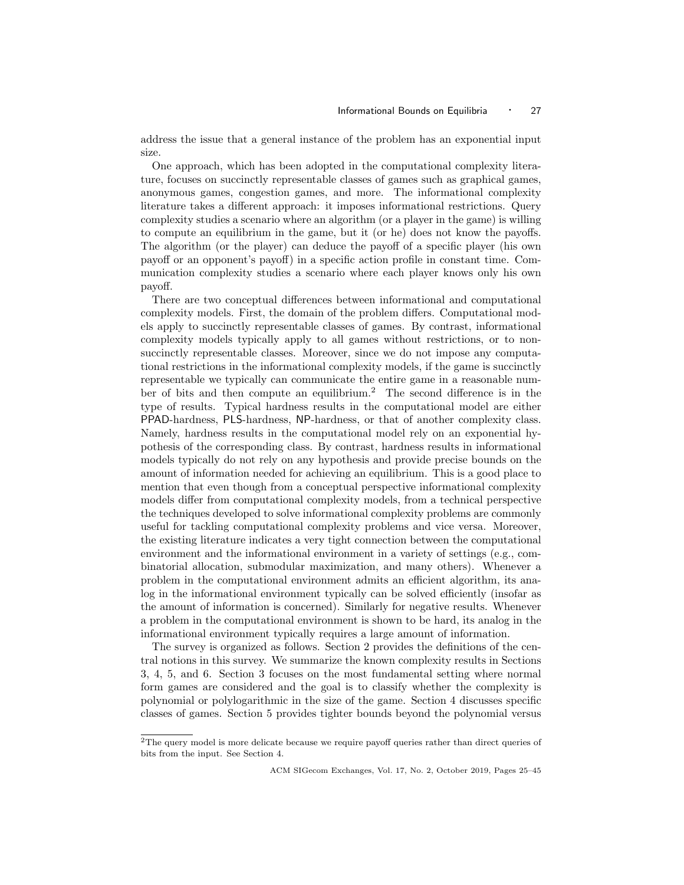address the issue that a general instance of the problem has an exponential input size.

One approach, which has been adopted in the computational complexity literature, focuses on succinctly representable classes of games such as graphical games, anonymous games, congestion games, and more. The informational complexity literature takes a different approach: it imposes informational restrictions. Query complexity studies a scenario where an algorithm (or a player in the game) is willing to compute an equilibrium in the game, but it (or he) does not know the payoffs. The algorithm (or the player) can deduce the payoff of a specific player (his own payoff or an opponent's payoff) in a specific action profile in constant time. Communication complexity studies a scenario where each player knows only his own payoff.

There are two conceptual differences between informational and computational complexity models. First, the domain of the problem differs. Computational models apply to succinctly representable classes of games. By contrast, informational complexity models typically apply to all games without restrictions, or to nonsuccinctly representable classes. Moreover, since we do not impose any computational restrictions in the informational complexity models, if the game is succinctly representable we typically can communicate the entire game in a reasonable number of bits and then compute an equilibrium.<sup>2</sup> The second difference is in the type of results. Typical hardness results in the computational model are either PPAD-hardness, PLS-hardness, NP-hardness, or that of another complexity class. Namely, hardness results in the computational model rely on an exponential hypothesis of the corresponding class. By contrast, hardness results in informational models typically do not rely on any hypothesis and provide precise bounds on the amount of information needed for achieving an equilibrium. This is a good place to mention that even though from a conceptual perspective informational complexity models differ from computational complexity models, from a technical perspective the techniques developed to solve informational complexity problems are commonly useful for tackling computational complexity problems and vice versa. Moreover, the existing literature indicates a very tight connection between the computational environment and the informational environment in a variety of settings (e.g., combinatorial allocation, submodular maximization, and many others). Whenever a problem in the computational environment admits an efficient algorithm, its analog in the informational environment typically can be solved efficiently (insofar as the amount of information is concerned). Similarly for negative results. Whenever a problem in the computational environment is shown to be hard, its analog in the informational environment typically requires a large amount of information.

The survey is organized as follows. Section 2 provides the definitions of the central notions in this survey. We summarize the known complexity results in Sections 3, 4, 5, and 6. Section 3 focuses on the most fundamental setting where normal form games are considered and the goal is to classify whether the complexity is polynomial or polylogarithmic in the size of the game. Section 4 discusses specific classes of games. Section 5 provides tighter bounds beyond the polynomial versus

 $^2\mathrm{The}$  query model is more delicate because we require payoff queries rather than direct queries of bits from the input. See Section 4.

ACM SIGecom Exchanges, Vol. 17, No. 2, October 2019, Pages 25–45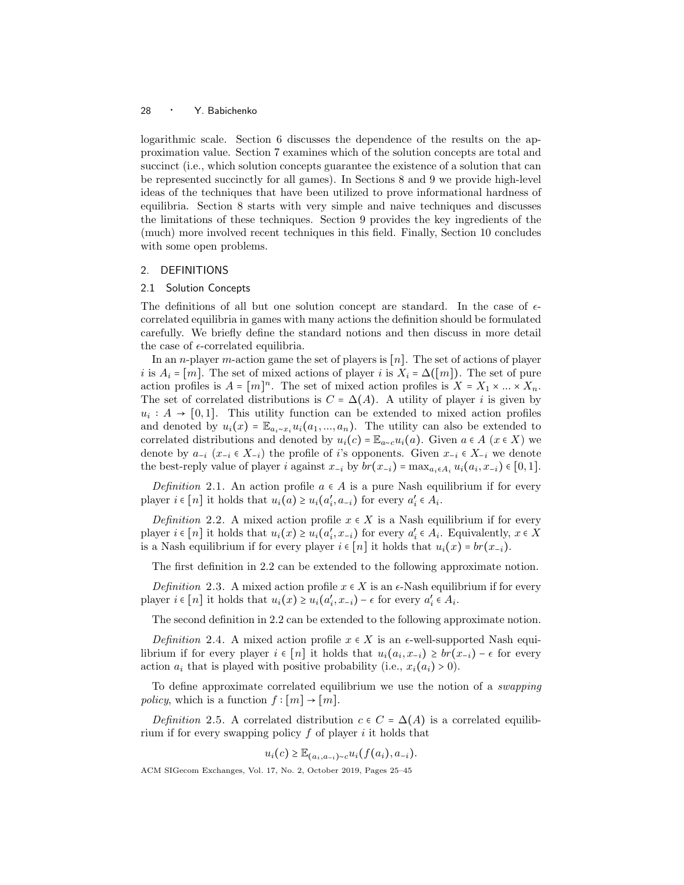logarithmic scale. Section 6 discusses the dependence of the results on the approximation value. Section 7 examines which of the solution concepts are total and succinct (i.e., which solution concepts guarantee the existence of a solution that can be represented succinctly for all games). In Sections 8 and 9 we provide high-level ideas of the techniques that have been utilized to prove informational hardness of equilibria. Section 8 starts with very simple and naive techniques and discusses the limitations of these techniques. Section 9 provides the key ingredients of the (much) more involved recent techniques in this field. Finally, Section 10 concludes with some open problems.

## 2. DEFINITIONS

## 2.1 Solution Concepts

The definitions of all but one solution concept are standard. In the case of  $\epsilon$ correlated equilibria in games with many actions the definition should be formulated carefully. We briefly define the standard notions and then discuss in more detail the case of  $\epsilon$ -correlated equilibria.

In an *n*-player *m*-action game the set of players is  $[n]$ . The set of actions of player i is  $A_i = [m]$ . The set of mixed actions of player i is  $X_i = \Delta([m])$ . The set of pure action profiles is  $A = [m]^n$ . The set of mixed action profiles is  $X = X_1 \times ... \times X_n$ . The set of correlated distributions is  $C = \Delta(A)$ . A utility of player *i* is given by  $u_i: A \to [0,1].$  This utility function can be extended to mixed action profiles and denoted by  $u_i(x) = \mathbb{E}_{a_i \sim x_i} u_i(a_1, ..., a_n)$ . The utility can also be extended to correlated distributions and denoted by  $u_i(c) = \mathbb{E}_{a \sim c} u_i(a)$ . Given  $a \in A$  ( $x \in X$ ) we denote by  $a_{-i}$  ( $x_{-i} \in X_{-i}$ ) the profile of i's opponents. Given  $x_{-i} \in X_{-i}$  we denote the best-reply value of player i against  $x_{-i}$  by  $br(x_{-i}) = \max_{a_i \in A_i} u_i(a_i, x_{-i}) \in [0, 1]$ .

Definition 2.1. An action profile  $a \in A$  is a pure Nash equilibrium if for every player  $i \in [n]$  it holds that  $u_i(a) \ge u_i(a'_i, a_{-i})$  for every  $a'_i \in A_i$ .

Definition 2.2. A mixed action profile  $x \in X$  is a Nash equilibrium if for every player  $i \in [n]$  it holds that  $u_i(x) \ge u_i(a'_i, x_{-i})$  for every  $a'_i \in A_i$ . Equivalently,  $x \in X$ is a Nash equilibrium if for every player  $i \in [n]$  it holds that  $u_i(x) = br(x_{-i})$ .

The first definition in 2.2 can be extended to the following approximate notion.

Definition 2.3. A mixed action profile  $x \in X$  is an  $\epsilon$ -Nash equilibrium if for every player  $i \in [n]$  it holds that  $u_i(x) \ge u_i(a'_i, x_{-i}) - \epsilon$  for every  $a'_i \in A_i$ .

The second definition in 2.2 can be extended to the following approximate notion.

Definition 2.4. A mixed action profile  $x \in X$  is an  $\epsilon$ -well-supported Nash equilibrium if for every player  $i \in [n]$  it holds that  $u_i(a_i, x_{-i}) \ge br(x_{-i}) - \epsilon$  for every action  $a_i$  that is played with positive probability (i.e.,  $x_i(a_i) > 0$ ).

To define approximate correlated equilibrium we use the notion of a swapping *policy*, which is a function  $f : [m] \rightarrow [m]$ .

Definition 2.5. A correlated distribution  $c \in C = \Delta(A)$  is a correlated equilibrium if for every swapping policy  $f$  of player  $i$  it holds that

 $u_i(c) \geq \mathbb{E}_{(a_i, a_{-i}) \sim c} u_i(f(a_i), a_{-i}).$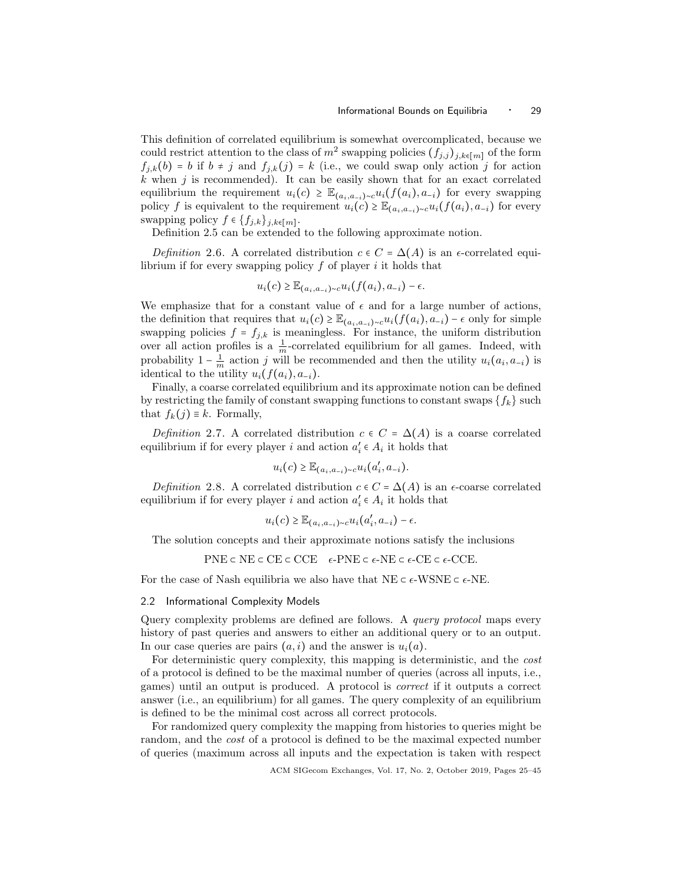This definition of correlated equilibrium is somewhat overcomplicated, because we could restrict attention to the class of  $m^2$  swapping policies  $(f_{j,j})_{j,k \in [m]}$  of the form  $f_{j,k}(b) = b$  if  $b \neq j$  and  $f_{j,k}(j) = k$  (i.e., we could swap only action j for action  $k$  when  $j$  is recommended). It can be easily shown that for an exact correlated equilibrium the requirement  $u_i(c) \geq \mathbb{E}_{(a_i,a_{-i})\sim c} u_i(f(a_i), a_{-i})$  for every swapping policy f is equivalent to the requirement  $u_i(c) \geq \mathbb{E}_{(a_i,a_{-i}) \sim c} u_i(f(a_i), a_{-i})$  for every swapping policy  $f \in \{f_{j,k}\}_{j,k\in[m]}$ .

Definition 2.5 can be extended to the following approximate notion.

Definition 2.6. A correlated distribution  $c \in C = \Delta(A)$  is an  $\epsilon$ -correlated equilibrium if for every swapping policy  $f$  of player  $i$  it holds that

$$
u_i(c) \geq \mathbb{E}_{(a_i,a_{-i})\sim c} u_i(f(a_i),a_{-i}) - \epsilon.
$$

We emphasize that for a constant value of  $\epsilon$  and for a large number of actions, the definition that requires that  $u_i(c) \geq \mathbb{E}_{(a_i,a_{-i}) \sim c} u_i(f(a_i), a_{-i}) - \epsilon$  only for simple swapping policies  $f = f_{j,k}$  is meaningless. For instance, the uniform distribution over all action profiles is a  $\frac{1}{m}$ -correlated equilibrium for all games. Indeed, with probability  $1 - \frac{1}{m}$  action j will be recommended and then the utility  $u_i(a_i, a_{-i})$  is identical to the utility  $u_i(f(a_i), a_{-i}).$ 

Finally, a coarse correlated equilibrium and its approximate notion can be defined by restricting the family of constant swapping functions to constant swaps  $\{f_k\}$  such that  $f_k(j) \equiv k$ . Formally,

Definition 2.7. A correlated distribution  $c \in C = \Delta(A)$  is a coarse correlated equilibrium if for every player *i* and action  $a'_i \in A_i$  it holds that

$$
u_i(c) \geq \mathbb{E}_{(a_i,a_{-i})\sim c} u_i(a'_i,a_{-i}).
$$

Definition 2.8. A correlated distribution  $c \in C = \Delta(A)$  is an  $\epsilon$ -coarse correlated equilibrium if for every player *i* and action  $a'_i \in A_i$  it holds that

$$
u_i(c) \geq \mathbb{E}_{(a_i, a_{-i}) \sim c} u_i(a'_i, a_{-i}) - \epsilon.
$$

The solution concepts and their approximate notions satisfy the inclusions

$$
PNE \subset NE \subset CE \subset CCE \quad \epsilon\text{-}PNE \subset \epsilon\text{-}NE \subset \epsilon\text{-}CE \subset \epsilon\text{-}CCE.
$$

For the case of Nash equilibria we also have that  $NE \subset \epsilon$ -WSNE  $\subset \epsilon$ -NE.

## 2.2 Informational Complexity Models

Query complexity problems are defined are follows. A query protocol maps every history of past queries and answers to either an additional query or to an output. In our case queries are pairs  $(a, i)$  and the answer is  $u_i(a)$ .

For deterministic query complexity, this mapping is deterministic, and the cost of a protocol is defined to be the maximal number of queries (across all inputs, i.e., games) until an output is produced. A protocol is correct if it outputs a correct answer (i.e., an equilibrium) for all games. The query complexity of an equilibrium is defined to be the minimal cost across all correct protocols.

For randomized query complexity the mapping from histories to queries might be random, and the cost of a protocol is defined to be the maximal expected number of queries (maximum across all inputs and the expectation is taken with respect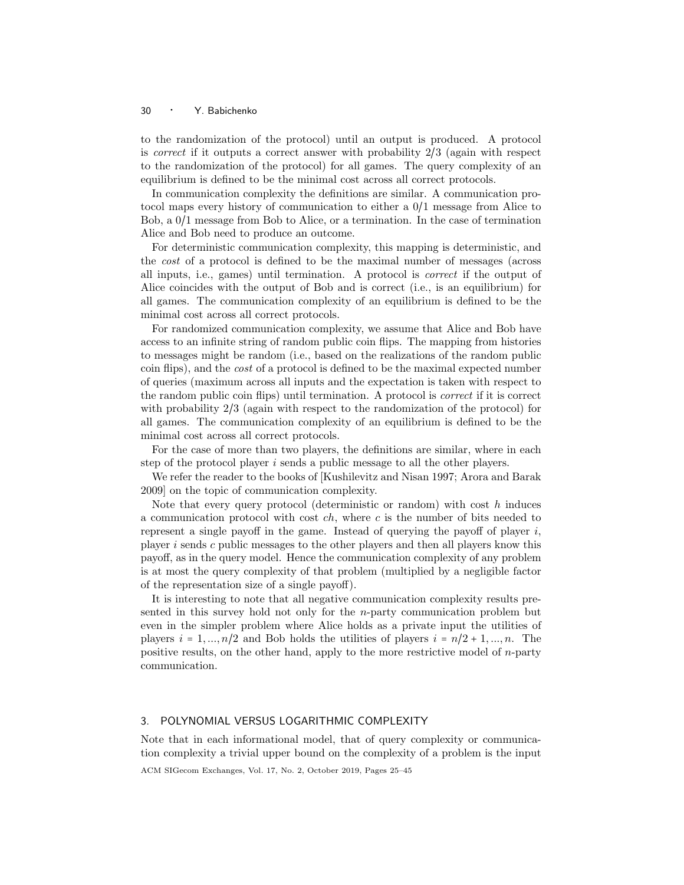to the randomization of the protocol) until an output is produced. A protocol is correct if it outputs a correct answer with probability 2/3 (again with respect to the randomization of the protocol) for all games. The query complexity of an equilibrium is defined to be the minimal cost across all correct protocols.

In communication complexity the definitions are similar. A communication protocol maps every history of communication to either a 0/1 message from Alice to Bob, a 0/1 message from Bob to Alice, or a termination. In the case of termination Alice and Bob need to produce an outcome.

For deterministic communication complexity, this mapping is deterministic, and the cost of a protocol is defined to be the maximal number of messages (across all inputs, i.e., games) until termination. A protocol is correct if the output of Alice coincides with the output of Bob and is correct (i.e., is an equilibrium) for all games. The communication complexity of an equilibrium is defined to be the minimal cost across all correct protocols.

For randomized communication complexity, we assume that Alice and Bob have access to an infinite string of random public coin flips. The mapping from histories to messages might be random (i.e., based on the realizations of the random public coin flips), and the cost of a protocol is defined to be the maximal expected number of queries (maximum across all inputs and the expectation is taken with respect to the random public coin flips) until termination. A protocol is correct if it is correct with probability 2/3 (again with respect to the randomization of the protocol) for all games. The communication complexity of an equilibrium is defined to be the minimal cost across all correct protocols.

For the case of more than two players, the definitions are similar, where in each step of the protocol player i sends a public message to all the other players.

We refer the reader to the books of [Kushilevitz and Nisan 1997; Arora and Barak 2009] on the topic of communication complexity.

Note that every query protocol (deterministic or random) with cost  $h$  induces a communication protocol with cost  $ch$ , where c is the number of bits needed to represent a single payoff in the game. Instead of querying the payoff of player  $i$ , player i sends c public messages to the other players and then all players know this payoff, as in the query model. Hence the communication complexity of any problem is at most the query complexity of that problem (multiplied by a negligible factor of the representation size of a single payoff).

It is interesting to note that all negative communication complexity results presented in this survey hold not only for the n-party communication problem but even in the simpler problem where Alice holds as a private input the utilities of players  $i = 1, ..., n/2$  and Bob holds the utilities of players  $i = n/2 + 1, ..., n$ . The positive results, on the other hand, apply to the more restrictive model of n-party communication.

# 3. POLYNOMIAL VERSUS LOGARITHMIC COMPLEXITY

Note that in each informational model, that of query complexity or communication complexity a trivial upper bound on the complexity of a problem is the input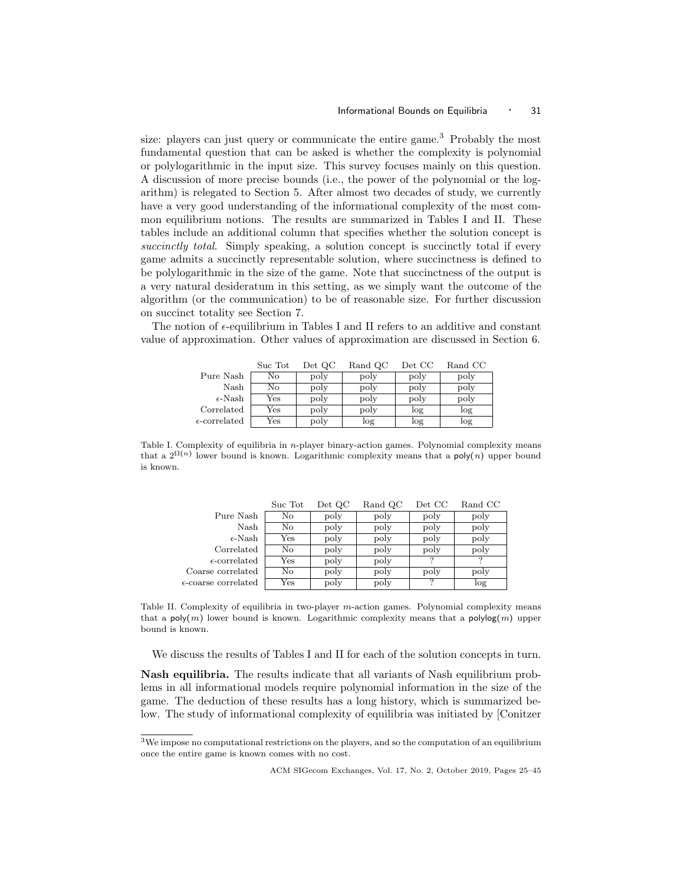size: players can just query or communicate the entire game.<sup>3</sup> Probably the most fundamental question that can be asked is whether the complexity is polynomial or polylogarithmic in the input size. This survey focuses mainly on this question. A discussion of more precise bounds (i.e., the power of the polynomial or the logarithm) is relegated to Section 5. After almost two decades of study, we currently have a very good understanding of the informational complexity of the most common equilibrium notions. The results are summarized in Tables I and II. These tables include an additional column that specifies whether the solution concept is succinctly total. Simply speaking, a solution concept is succinctly total if every game admits a succinctly representable solution, where succinctness is defined to be polylogarithmic in the size of the game. Note that succinctness of the output is a very natural desideratum in this setting, as we simply want the outcome of the algorithm (or the communication) to be of reasonable size. For further discussion on succinct totality see Section 7.

The notion of  $\epsilon$ -equilibrium in Tables I and II refers to an additive and constant value of approximation. Other values of approximation are discussed in Section 6.

|                        | Suc Tot      | Det QC | Rand QC | Det CC | Rand CC |
|------------------------|--------------|--------|---------|--------|---------|
| Pure Nash              | No           | poly   | poly    | poly   | poly    |
| Nash                   | No           | poly   | poly    | poly   | poly    |
| $\epsilon$ -Nash       | Yes          | poly   | poly    | poly   | poly    |
| Correlated             | $_{\rm Yes}$ | poly   | poly    | log    | log     |
| $\epsilon$ -correlated | Yes          | poly   | log     | log    | log     |

Table I. Complexity of equilibria in  $n$ -player binary-action games. Polynomial complexity means that a  $2^{\Omega(n)}$  lower bound is known. Logarithmic complexity means that a  $\mathsf{poly}(n)$  upper bound is known.

|                               | Suc Tot              | Det QC | Rand QC | Det CC | Rand CC |
|-------------------------------|----------------------|--------|---------|--------|---------|
| Pure Nash                     | No                   | poly   | poly    | poly   | poly    |
| Nash                          | No                   | poly   | poly    | poly   | poly    |
| $\epsilon$ -Nash              | Yes                  | poly   | poly    | poly   | poly    |
| Correlated                    | No                   | poly   | poly    | poly   | poly    |
| $\epsilon$ -correlated        | $_{\rm Yes}$         | poly   | poly    | 2      |         |
| Coarse correlated             | No                   | poly   | poly    | poly   | poly    |
| $\epsilon$ -coarse correlated | $\operatorname{Yes}$ | poly   | poly    |        | log     |

Table II. Complexity of equilibria in two-player m-action games. Polynomial complexity means that a poly $(m)$  lower bound is known. Logarithmic complexity means that a polylog $(m)$  upper bound is known.

We discuss the results of Tables I and II for each of the solution concepts in turn.

Nash equilibria. The results indicate that all variants of Nash equilibrium problems in all informational models require polynomial information in the size of the game. The deduction of these results has a long history, which is summarized below. The study of informational complexity of equilibria was initiated by [Conitzer

<sup>3</sup>We impose no computational restrictions on the players, and so the computation of an equilibrium once the entire game is known comes with no cost.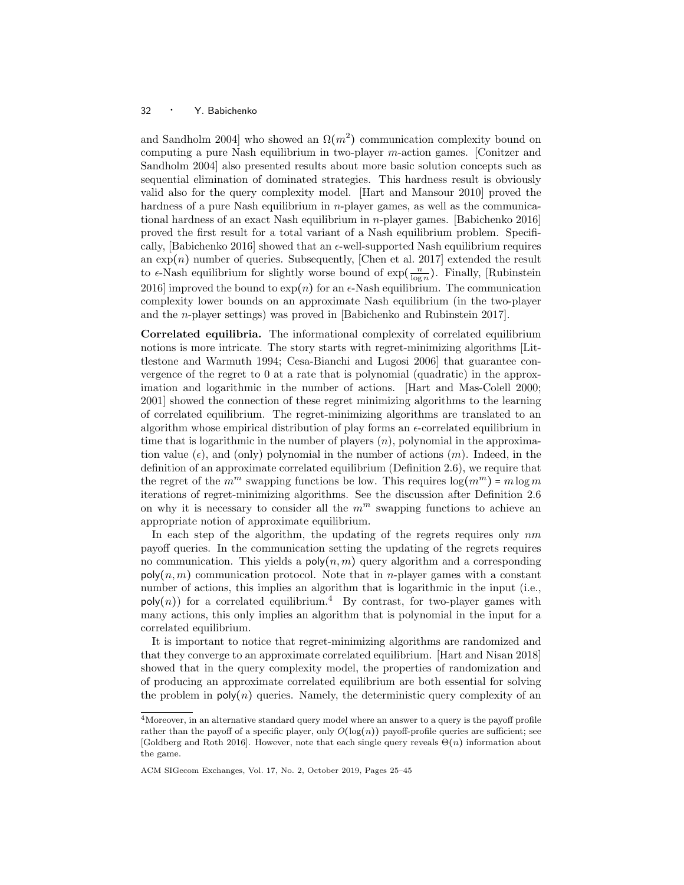and Sandholm 2004 who showed an  $\Omega(m^2)$  communication complexity bound on computing a pure Nash equilibrium in two-player  $m$ -action games. [Conitzer and Sandholm 2004] also presented results about more basic solution concepts such as sequential elimination of dominated strategies. This hardness result is obviously valid also for the query complexity model. [Hart and Mansour 2010] proved the hardness of a pure Nash equilibrium in *n*-player games, as well as the communicational hardness of an exact Nash equilibrium in n-player games. [Babichenko 2016] proved the first result for a total variant of a Nash equilibrium problem. Specifically, [Babichenko 2016] showed that an  $\epsilon$ -well-supported Nash equilibrium requires an  $\exp(n)$  number of queries. Subsequently, [Chen et al. 2017] extended the result to  $\epsilon$ -Nash equilibrium for slightly worse bound of  $\exp(\frac{n}{\log n})$ . Finally, [Rubinstein 2016] improved the bound to  $\exp(n)$  for an  $\epsilon$ -Nash equilibrium. The communication complexity lower bounds on an approximate Nash equilibrium (in the two-player and the n-player settings) was proved in [Babichenko and Rubinstein 2017].

Correlated equilibria. The informational complexity of correlated equilibrium notions is more intricate. The story starts with regret-minimizing algorithms [Littlestone and Warmuth 1994; Cesa-Bianchi and Lugosi 2006] that guarantee convergence of the regret to 0 at a rate that is polynomial (quadratic) in the approximation and logarithmic in the number of actions. [Hart and Mas-Colell 2000; 2001] showed the connection of these regret minimizing algorithms to the learning of correlated equilibrium. The regret-minimizing algorithms are translated to an algorithm whose empirical distribution of play forms an  $\epsilon$ -correlated equilibrium in time that is logarithmic in the number of players  $(n)$ , polynomial in the approximation value ( $\epsilon$ ), and (only) polynomial in the number of actions  $(m)$ . Indeed, in the definition of an approximate correlated equilibrium (Definition 2.6), we require that the regret of the  $m^m$  swapping functions be low. This requires  $\log(m^m) = m \log m$ iterations of regret-minimizing algorithms. See the discussion after Definition 2.6 on why it is necessary to consider all the  $m<sup>m</sup>$  swapping functions to achieve an appropriate notion of approximate equilibrium.

In each step of the algorithm, the updating of the regrets requires only  $nm$ payoff queries. In the communication setting the updating of the regrets requires no communication. This yields a  $poly(n, m)$  query algorithm and a corresponding  $\mathsf{poly}(n,m)$  communication protocol. Note that in *n*-player games with a constant number of actions, this implies an algorithm that is logarithmic in the input (i.e.,  $poly(n))$  for a correlated equilibrium.<sup>4</sup> By contrast, for two-player games with many actions, this only implies an algorithm that is polynomial in the input for a correlated equilibrium.

It is important to notice that regret-minimizing algorithms are randomized and that they converge to an approximate correlated equilibrium. [Hart and Nisan 2018] showed that in the query complexity model, the properties of randomization and of producing an approximate correlated equilibrium are both essential for solving the problem in  $poly(n)$  queries. Namely, the deterministic query complexity of an

<sup>&</sup>lt;sup>4</sup>Moreover, in an alternative standard query model where an answer to a query is the payoff profile rather than the payoff of a specific player, only  $O(log(n))$  payoff-profile queries are sufficient; see [Goldberg and Roth 2016]. However, note that each single query reveals  $\Theta(n)$  information about the game.

ACM SIGecom Exchanges, Vol. 17, No. 2, October 2019, Pages 25–45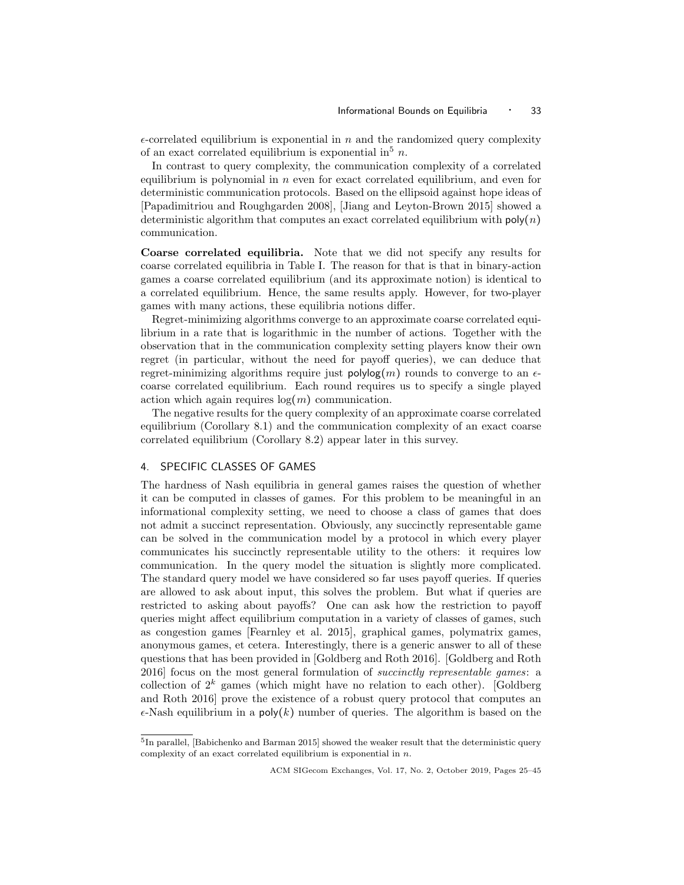$\epsilon$ -correlated equilibrium is exponential in n and the randomized query complexity of an exact correlated equilibrium is exponential in<sup>5</sup> n.

In contrast to query complexity, the communication complexity of a correlated equilibrium is polynomial in  $n$  even for exact correlated equilibrium, and even for deterministic communication protocols. Based on the ellipsoid against hope ideas of [Papadimitriou and Roughgarden 2008], [Jiang and Leyton-Brown 2015] showed a deterministic algorithm that computes an exact correlated equilibrium with  $\mathsf{poly}(n)$ communication.

Coarse correlated equilibria. Note that we did not specify any results for coarse correlated equilibria in Table I. The reason for that is that in binary-action games a coarse correlated equilibrium (and its approximate notion) is identical to a correlated equilibrium. Hence, the same results apply. However, for two-player games with many actions, these equilibria notions differ.

Regret-minimizing algorithms converge to an approximate coarse correlated equilibrium in a rate that is logarithmic in the number of actions. Together with the observation that in the communication complexity setting players know their own regret (in particular, without the need for payoff queries), we can deduce that regret-minimizing algorithms require just  $\text{polylog}(m)$  rounds to converge to an  $\epsilon$ coarse correlated equilibrium. Each round requires us to specify a single played action which again requires  $log(m)$  communication.

The negative results for the query complexity of an approximate coarse correlated equilibrium (Corollary 8.1) and the communication complexity of an exact coarse correlated equilibrium (Corollary 8.2) appear later in this survey.

# 4. SPECIFIC CLASSES OF GAMES

The hardness of Nash equilibria in general games raises the question of whether it can be computed in classes of games. For this problem to be meaningful in an informational complexity setting, we need to choose a class of games that does not admit a succinct representation. Obviously, any succinctly representable game can be solved in the communication model by a protocol in which every player communicates his succinctly representable utility to the others: it requires low communication. In the query model the situation is slightly more complicated. The standard query model we have considered so far uses payoff queries. If queries are allowed to ask about input, this solves the problem. But what if queries are restricted to asking about payoffs? One can ask how the restriction to payoff queries might affect equilibrium computation in a variety of classes of games, such as congestion games [Fearnley et al. 2015], graphical games, polymatrix games, anonymous games, et cetera. Interestingly, there is a generic answer to all of these questions that has been provided in [Goldberg and Roth 2016]. [Goldberg and Roth 2016] focus on the most general formulation of succinctly representable games: a collection of  $2^k$  games (which might have no relation to each other). [Goldberg and Roth 2016] prove the existence of a robust query protocol that computes an  $\epsilon$ -Nash equilibrium in a poly $(k)$  number of queries. The algorithm is based on the

<sup>&</sup>lt;sup>5</sup>In parallel, [Babichenko and Barman 2015] showed the weaker result that the deterministic query complexity of an exact correlated equilibrium is exponential in  $n$ .

ACM SIGecom Exchanges, Vol. 17, No. 2, October 2019, Pages 25–45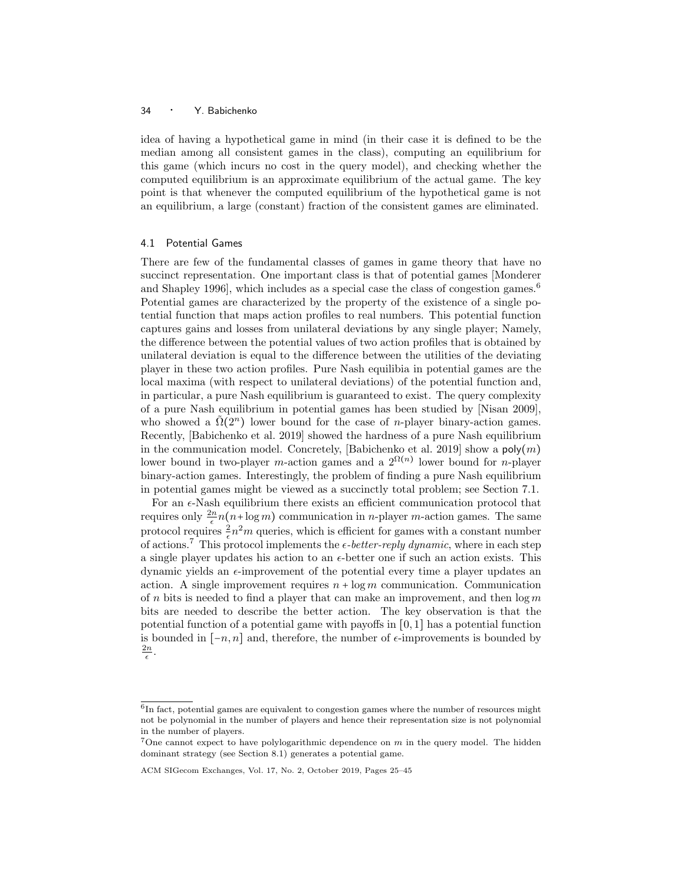idea of having a hypothetical game in mind (in their case it is defined to be the median among all consistent games in the class), computing an equilibrium for this game (which incurs no cost in the query model), and checking whether the computed equilibrium is an approximate equilibrium of the actual game. The key point is that whenever the computed equilibrium of the hypothetical game is not an equilibrium, a large (constant) fraction of the consistent games are eliminated.

#### 4.1 Potential Games

There are few of the fundamental classes of games in game theory that have no succinct representation. One important class is that of potential games [Monderer and Shapley 1996, which includes as a special case the class of congestion games.<sup>6</sup> Potential games are characterized by the property of the existence of a single potential function that maps action profiles to real numbers. This potential function captures gains and losses from unilateral deviations by any single player; Namely, the difference between the potential values of two action profiles that is obtained by unilateral deviation is equal to the difference between the utilities of the deviating player in these two action profiles. Pure Nash equilibia in potential games are the local maxima (with respect to unilateral deviations) of the potential function and, in particular, a pure Nash equilibrium is guaranteed to exist. The query complexity of a pure Nash equilibrium in potential games has been studied by [Nisan 2009], who showed a  $\tilde{\Omega}(2^n)$  lower bound for the case of *n*-player binary-action games. Recently, [Babichenko et al. 2019] showed the hardness of a pure Nash equilibrium in the communication model. Concretely, [Babichenko et al. 2019] show a  $poly(m)$ lower bound in two-player m-action games and a  $2^{\Omega(n)}$  lower bound for n-player binary-action games. Interestingly, the problem of finding a pure Nash equilibrium in potential games might be viewed as a succinctly total problem; see Section 7.1.

For an  $\epsilon$ -Nash equilibrium there exists an efficient communication protocol that requires only  $\frac{2n}{\epsilon}n(n+\log m)$  communication in *n*-player *m*-action games. The same protocol requires  $\frac{2}{\epsilon}n^2m$  queries, which is efficient for games with a constant number of actions.<sup>7</sup> This protocol implements the  $\epsilon$ -better-reply dynamic, where in each step a single player updates his action to an  $\epsilon$ -better one if such an action exists. This dynamic yields an  $\epsilon$ -improvement of the potential every time a player updates an action. A single improvement requires  $n + \log m$  communication. Communication of n bits is needed to find a player that can make an improvement, and then  $\log m$ bits are needed to describe the better action. The key observation is that the potential function of a potential game with payoffs in [0, 1] has a potential function is bounded in  $[-n, n]$  and, therefore, the number of  $\epsilon$ -improvements is bounded by  $\frac{2n}{\epsilon}$ .

<sup>&</sup>lt;sup>6</sup>In fact, potential games are equivalent to congestion games where the number of resources might not be polynomial in the number of players and hence their representation size is not polynomial in the number of players.

<sup>&</sup>lt;sup>7</sup>One cannot expect to have polylogarithmic dependence on  $m$  in the query model. The hidden dominant strategy (see Section 8.1) generates a potential game.

ACM SIGecom Exchanges, Vol. 17, No. 2, October 2019, Pages 25–45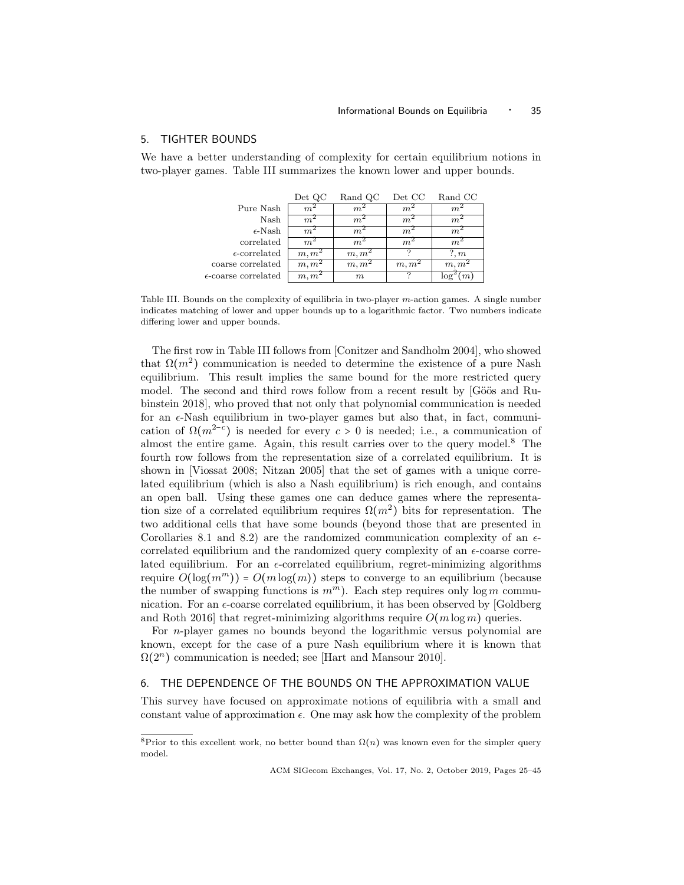## 5. TIGHTER BOUNDS

We have a better understanding of complexity for certain equilibrium notions in two-player games. Table III summarizes the known lower and upper bounds.

|                               | Det QC            | Rand QC           | Det CC            | Rand CC           |
|-------------------------------|-------------------|-------------------|-------------------|-------------------|
| Pure Nash                     | $m^2$             | m <sup>2</sup>    | $m^2$             | $m^2$             |
| Nash                          | m <sup>2</sup>    | m <sup>2</sup>    | m <sup>2</sup>    | m <sup>2</sup>    |
| $\epsilon$ -Nash              | m <sup>2</sup>    | $m^2$             | $m^2$             | $m^2$             |
| correlated                    | $m^2$             | $m^2$             | m <sup>2</sup>    | $m^2$             |
| $\epsilon$ -correlated        | m, m <sup>2</sup> | m, m <sup>2</sup> |                   | 2, m              |
| coarse correlated             | m, m <sup>2</sup> | m, m <sup>2</sup> | m, m <sup>2</sup> | m, m <sup>2</sup> |
| $\epsilon$ -coarse correlated | m, m <sup>2</sup> | m                 |                   | m                 |

Table III. Bounds on the complexity of equilibria in two-player  $m$ -action games. A single number indicates matching of lower and upper bounds up to a logarithmic factor. Two numbers indicate differing lower and upper bounds.

The first row in Table III follows from [Conitzer and Sandholm 2004], who showed that  $\Omega(m^2)$  communication is needed to determine the existence of a pure Nash equilibrium. This result implies the same bound for the more restricted query model. The second and third rows follow from a recent result by [Göös and Rubinstein 2018], who proved that not only that polynomial communication is needed for an  $\epsilon$ -Nash equilibrium in two-player games but also that, in fact, communication of  $\Omega(m^{2-c})$  is needed for every  $c > 0$  is needed; i.e., a communication of almost the entire game. Again, this result carries over to the query model.<sup>8</sup> The fourth row follows from the representation size of a correlated equilibrium. It is shown in [Viossat 2008; Nitzan 2005] that the set of games with a unique correlated equilibrium (which is also a Nash equilibrium) is rich enough, and contains an open ball. Using these games one can deduce games where the representation size of a correlated equilibrium requires  $\Omega(m^2)$  bits for representation. The two additional cells that have some bounds (beyond those that are presented in Corollaries 8.1 and 8.2) are the randomized communication complexity of an  $\epsilon$ correlated equilibrium and the randomized query complexity of an  $\epsilon$ -coarse correlated equilibrium. For an  $\epsilon$ -correlated equilibrium, regret-minimizing algorithms require  $O(\log(m^m)) = O(m \log(m))$  steps to converge to an equilibrium (because the number of swapping functions is  $m^m$ ). Each step requires only log m communication. For an  $\epsilon$ -coarse correlated equilibrium, it has been observed by [Goldberg] and Roth 2016] that regret-minimizing algorithms require  $O(m \log m)$  queries.

For n-player games no bounds beyond the logarithmic versus polynomial are known, except for the case of a pure Nash equilibrium where it is known that  $\Omega(2^n)$  communication is needed; see [Hart and Mansour 2010].

### 6. THE DEPENDENCE OF THE BOUNDS ON THE APPROXIMATION VALUE

This survey have focused on approximate notions of equilibria with a small and constant value of approximation  $\epsilon$ . One may ask how the complexity of the problem

<sup>&</sup>lt;sup>8</sup>Prior to this excellent work, no better bound than  $\Omega(n)$  was known even for the simpler query model.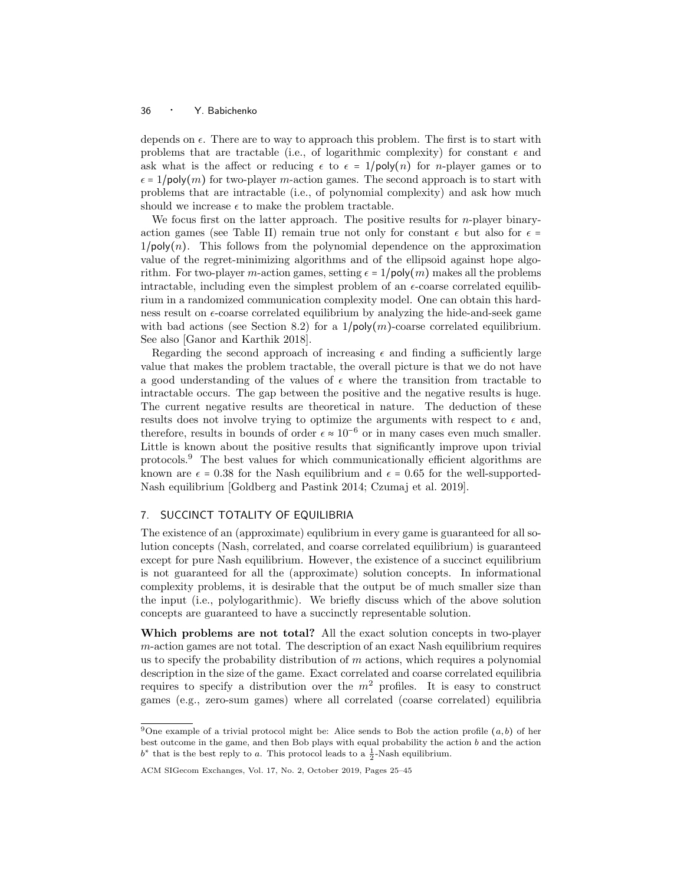depends on  $\epsilon$ . There are to way to approach this problem. The first is to start with problems that are tractable (i.e., of logarithmic complexity) for constant  $\epsilon$  and ask what is the affect or reducing  $\epsilon$  to  $\epsilon = 1/\text{poly}(n)$  for *n*-player games or to  $\epsilon = 1/\text{poly}(m)$  for two-player m-action games. The second approach is to start with problems that are intractable (i.e., of polynomial complexity) and ask how much should we increase  $\epsilon$  to make the problem tractable.

We focus first on the latter approach. The positive results for  $n$ -player binaryaction games (see Table II) remain true not only for constant  $\epsilon$  but also for  $\epsilon =$  $1/poly(n)$ . This follows from the polynomial dependence on the approximation value of the regret-minimizing algorithms and of the ellipsoid against hope algorithm. For two-player m-action games, setting  $\epsilon = 1/\text{poly}(m)$  makes all the problems intractable, including even the simplest problem of an  $\epsilon$ -coarse correlated equilibrium in a randomized communication complexity model. One can obtain this hardness result on  $\epsilon$ -coarse correlated equilibrium by analyzing the hide-and-seek game with bad actions (see Section 8.2) for a  $1/\text{poly}(m)$ -coarse correlated equilibrium. See also [Ganor and Karthik 2018].

Regarding the second approach of increasing  $\epsilon$  and finding a sufficiently large value that makes the problem tractable, the overall picture is that we do not have a good understanding of the values of  $\epsilon$  where the transition from tractable to intractable occurs. The gap between the positive and the negative results is huge. The current negative results are theoretical in nature. The deduction of these results does not involve trying to optimize the arguments with respect to  $\epsilon$  and, therefore, results in bounds of order  $\epsilon \approx 10^{-6}$  or in many cases even much smaller. Little is known about the positive results that significantly improve upon trivial protocols.<sup>9</sup> The best values for which communicationally efficient algorithms are known are  $\epsilon = 0.38$  for the Nash equilibrium and  $\epsilon = 0.65$  for the well-supported-Nash equilibrium [Goldberg and Pastink 2014; Czumaj et al. 2019].

# 7. SUCCINCT TOTALITY OF EQUILIBRIA

The existence of an (approximate) equlibrium in every game is guaranteed for all solution concepts (Nash, correlated, and coarse correlated equilibrium) is guaranteed except for pure Nash equilibrium. However, the existence of a succinct equilibrium is not guaranteed for all the (approximate) solution concepts. In informational complexity problems, it is desirable that the output be of much smaller size than the input (i.e., polylogarithmic). We briefly discuss which of the above solution concepts are guaranteed to have a succinctly representable solution.

Which problems are not total? All the exact solution concepts in two-player m-action games are not total. The description of an exact Nash equilibrium requires us to specify the probability distribution of  $m$  actions, which requires a polynomial description in the size of the game. Exact correlated and coarse correlated equilibria requires to specify a distribution over the  $m^2$  profiles. It is easy to construct games (e.g., zero-sum games) where all correlated (coarse correlated) equilibria

<sup>&</sup>lt;sup>9</sup>One example of a trivial protocol might be: Alice sends to Bob the action profile  $(a, b)$  of her best outcome in the game, and then Bob plays with equal probability the action b and the action  $b^*$  that is the best reply to a. This protocol leads to a  $\frac{1}{2}$ -Nash equilibrium.

ACM SIGecom Exchanges, Vol. 17, No. 2, October 2019, Pages 25–45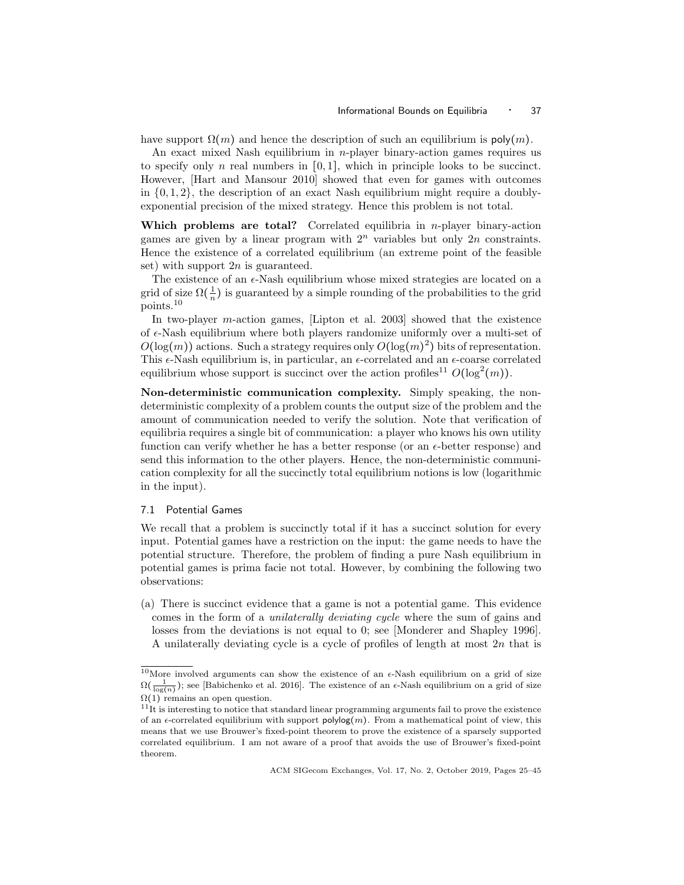have support  $\Omega(m)$  and hence the description of such an equilibrium is  $\mathsf{poly}(m)$ .

An exact mixed Nash equilibrium in *n*-player binary-action games requires us to specify only n real numbers in  $[0, 1]$ , which in principle looks to be succinct. However, [Hart and Mansour 2010] showed that even for games with outcomes in  $\{0, 1, 2\}$ , the description of an exact Nash equilibrium might require a doublyexponential precision of the mixed strategy. Hence this problem is not total.

Which problems are total? Correlated equilibria in *n*-player binary-action games are given by a linear program with  $2^n$  variables but only  $2n$  constraints. Hence the existence of a correlated equilibrium (an extreme point of the feasible set) with support  $2n$  is guaranteed.

The existence of an  $\epsilon$ -Nash equilibrium whose mixed strategies are located on a grid of size  $\Omega(\frac{1}{n})$  is guaranteed by a simple rounding of the probabilities to the grid points.<sup>10</sup>

In two-player m-action games, [Lipton et al. 2003] showed that the existence of  $\epsilon$ -Nash equilibrium where both players randomize uniformly over a multi-set of  $O(\log(m))$  actions. Such a strategy requires only  $O(\log(m)^2)$  bits of representation. This  $\epsilon$ -Nash equilibrium is, in particular, an  $\epsilon$ -correlated and an  $\epsilon$ -coarse correlated equilibrium whose support is succinct over the action profiles<sup>11</sup>  $O(\log^2(m))$ .

Non-deterministic communication complexity. Simply speaking, the nondeterministic complexity of a problem counts the output size of the problem and the amount of communication needed to verify the solution. Note that verification of equilibria requires a single bit of communication: a player who knows his own utility function can verify whether he has a better response (or an  $\epsilon$ -better response) and send this information to the other players. Hence, the non-deterministic communication complexity for all the succinctly total equilibrium notions is low (logarithmic in the input).

## 7.1 Potential Games

We recall that a problem is succinctly total if it has a succinct solution for every input. Potential games have a restriction on the input: the game needs to have the potential structure. Therefore, the problem of finding a pure Nash equilibrium in potential games is prima facie not total. However, by combining the following two observations:

(a) There is succinct evidence that a game is not a potential game. This evidence comes in the form of a unilaterally deviating cycle where the sum of gains and losses from the deviations is not equal to 0; see [Monderer and Shapley 1996]. A unilaterally deviating cycle is a cycle of profiles of length at most  $2n$  that is

 $10$ More involved arguments can show the existence of an  $\epsilon$ -Nash equilibrium on a grid of size  $\Omega(\frac{1}{\log(n)})$ ; see [Babichenko et al. 2016]. The existence of an  $\epsilon$ -Nash equilibrium on a grid of size  $\Omega(1)$  remains an open question.

 $11$ It is interesting to notice that standard linear programming arguments fail to prove the existence of an  $\epsilon$ -correlated equilibrium with support  $polylog(m)$ . From a mathematical point of view, this means that we use Brouwer's fixed-point theorem to prove the existence of a sparsely supported correlated equilibrium. I am not aware of a proof that avoids the use of Brouwer's fixed-point theorem.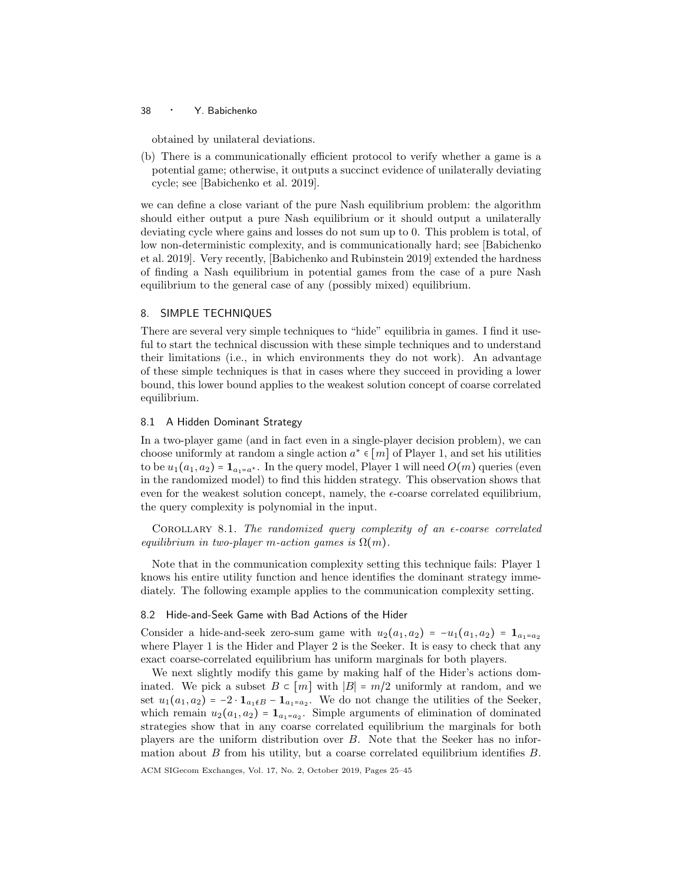obtained by unilateral deviations.

(b) There is a communicationally efficient protocol to verify whether a game is a potential game; otherwise, it outputs a succinct evidence of unilaterally deviating cycle; see [Babichenko et al. 2019].

we can define a close variant of the pure Nash equilibrium problem: the algorithm should either output a pure Nash equilibrium or it should output a unilaterally deviating cycle where gains and losses do not sum up to 0. This problem is total, of low non-deterministic complexity, and is communicationally hard; see [Babichenko et al. 2019]. Very recently, [Babichenko and Rubinstein 2019] extended the hardness of finding a Nash equilibrium in potential games from the case of a pure Nash equilibrium to the general case of any (possibly mixed) equilibrium.

## 8. SIMPLE TECHNIQUES

There are several very simple techniques to "hide" equilibria in games. I find it useful to start the technical discussion with these simple techniques and to understand their limitations (i.e., in which environments they do not work). An advantage of these simple techniques is that in cases where they succeed in providing a lower bound, this lower bound applies to the weakest solution concept of coarse correlated equilibrium.

# 8.1 A Hidden Dominant Strategy

In a two-player game (and in fact even in a single-player decision problem), we can choose uniformly at random a single action  $a^* \in [m]$  of Player 1, and set his utilities to be  $u_1(a_1, a_2) = \mathbf{1}_{a_1 = a^*}$ . In the query model, Player 1 will need  $O(m)$  queries (even in the randomized model) to find this hidden strategy. This observation shows that even for the weakest solution concept, namely, the  $\epsilon$ -coarse correlated equilibrium, the query complexity is polynomial in the input.

COROLLARY 8.1. The randomized query complexity of an  $\epsilon$ -coarse correlated equilibrium in two-player m-action games is  $\Omega(m)$ .

Note that in the communication complexity setting this technique fails: Player 1 knows his entire utility function and hence identifies the dominant strategy immediately. The following example applies to the communication complexity setting.

### 8.2 Hide-and-Seek Game with Bad Actions of the Hider

Consider a hide-and-seek zero-sum game with  $u_2(a_1, a_2) = -u_1(a_1, a_2) = \mathbf{1}_{a_1=a_2}$ where Player 1 is the Hider and Player 2 is the Seeker. It is easy to check that any exact coarse-correlated equilibrium has uniform marginals for both players.

We next slightly modify this game by making half of the Hider's actions dominated. We pick a subset  $B \subset [m]$  with  $|B| = m/2$  uniformly at random, and we set  $u_1(a_1, a_2) = -2 \cdot \mathbf{1}_{a_1 \notin B} - \mathbf{1}_{a_1 = a_2}$ . We do not change the utilities of the Seeker, which remain  $u_2(a_1, a_2) = \mathbf{1}_{a_1 = a_2}$ . Simple arguments of elimination of dominated strategies show that in any coarse correlated equilibrium the marginals for both players are the uniform distribution over B. Note that the Seeker has no information about  $B$  from his utility, but a coarse correlated equilibrium identifies  $B$ .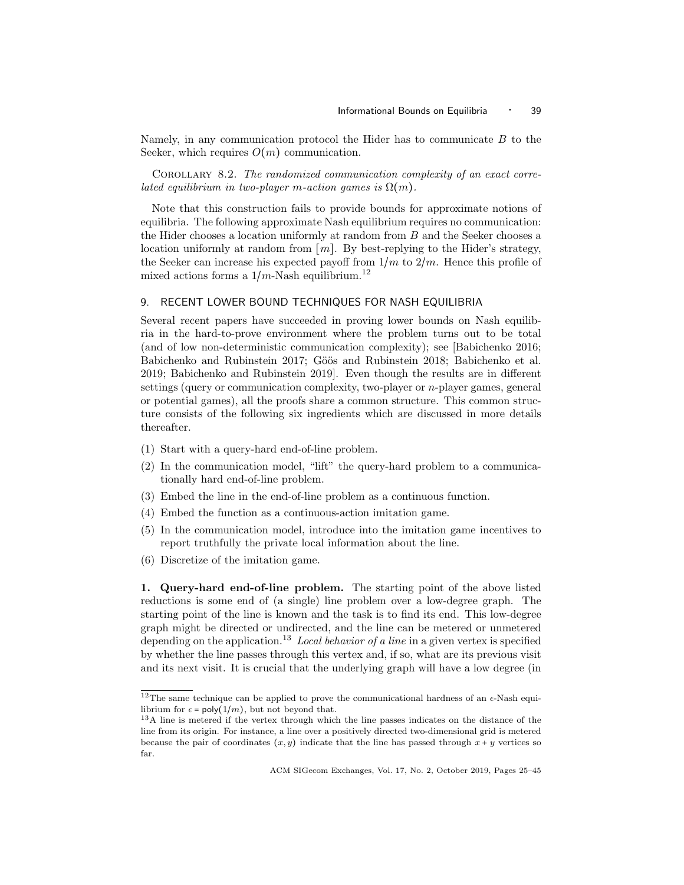Namely, in any communication protocol the Hider has to communicate  $B$  to the Seeker, which requires  $O(m)$  communication.

Corollary 8.2. The randomized communication complexity of an exact correlated equilibrium in two-player m-action games is  $\Omega(m)$ .

Note that this construction fails to provide bounds for approximate notions of equilibria. The following approximate Nash equilibrium requires no communication: the Hider chooses a location uniformly at random from B and the Seeker chooses a location uniformly at random from  $[m]$ . By best-replying to the Hider's strategy, the Seeker can increase his expected payoff from  $1/m$  to  $2/m$ . Hence this profile of mixed actions forms a  $1/m$ -Nash equilibrium.<sup>12</sup>

# 9. RECENT LOWER BOUND TECHNIQUES FOR NASH EQUILIBRIA

Several recent papers have succeeded in proving lower bounds on Nash equilibria in the hard-to-prove environment where the problem turns out to be total (and of low non-deterministic communication complexity); see [Babichenko 2016; Babichenko and Rubinstein 2017; Göös and Rubinstein 2018; Babichenko et al. 2019; Babichenko and Rubinstein 2019]. Even though the results are in different settings (query or communication complexity, two-player or n-player games, general or potential games), all the proofs share a common structure. This common structure consists of the following six ingredients which are discussed in more details thereafter.

- (1) Start with a query-hard end-of-line problem.
- (2) In the communication model, "lift" the query-hard problem to a communicationally hard end-of-line problem.
- (3) Embed the line in the end-of-line problem as a continuous function.
- (4) Embed the function as a continuous-action imitation game.
- (5) In the communication model, introduce into the imitation game incentives to report truthfully the private local information about the line.
- (6) Discretize of the imitation game.

1. Query-hard end-of-line problem. The starting point of the above listed reductions is some end of (a single) line problem over a low-degree graph. The starting point of the line is known and the task is to find its end. This low-degree graph might be directed or undirected, and the line can be metered or unmetered depending on the application.<sup>13</sup> Local behavior of a line in a given vertex is specified by whether the line passes through this vertex and, if so, what are its previous visit and its next visit. It is crucial that the underlying graph will have a low degree (in

 $12$ The same technique can be applied to prove the communicational hardness of an  $\epsilon$ -Nash equilibrium for  $\epsilon = \text{poly}(1/m)$ , but not beyond that.

<sup>&</sup>lt;sup>13</sup>A line is metered if the vertex through which the line passes indicates on the distance of the line from its origin. For instance, a line over a positively directed two-dimensional grid is metered because the pair of coordinates  $(x, y)$  indicate that the line has passed through  $x + y$  vertices so far.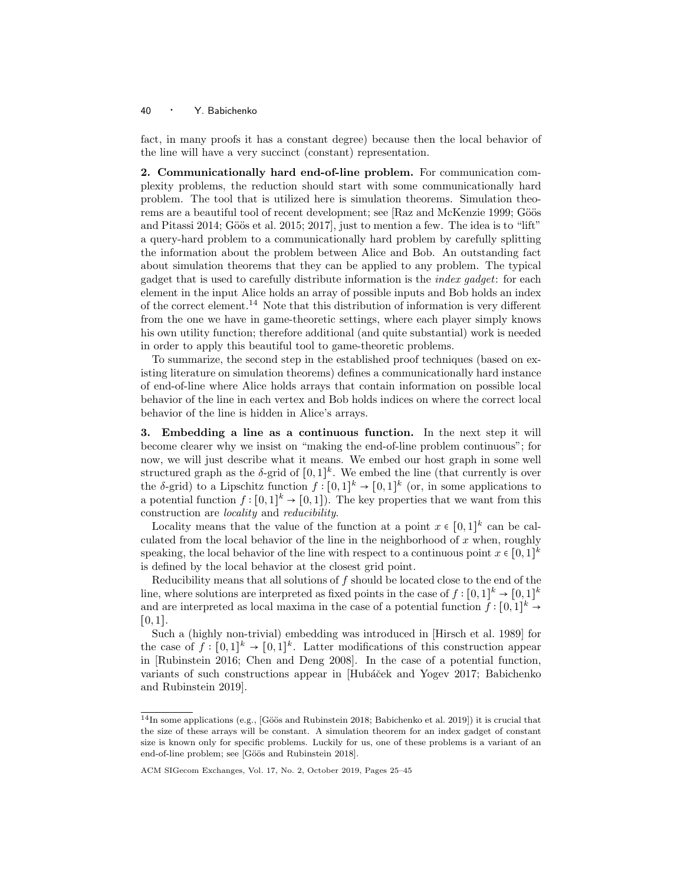fact, in many proofs it has a constant degree) because then the local behavior of the line will have a very succinct (constant) representation.

2. Communicationally hard end-of-line problem. For communication complexity problems, the reduction should start with some communicationally hard problem. The tool that is utilized here is simulation theorems. Simulation theorems are a beautiful tool of recent development; see [Raz and McKenzie 1999; Göös and Pitassi 2014; Göös et al. 2015; 2017], just to mention a few. The idea is to "lift" a query-hard problem to a communicationally hard problem by carefully splitting the information about the problem between Alice and Bob. An outstanding fact about simulation theorems that they can be applied to any problem. The typical gadget that is used to carefully distribute information is the index gadget: for each element in the input Alice holds an array of possible inputs and Bob holds an index of the correct element.<sup>14</sup> Note that this distribution of information is very different from the one we have in game-theoretic settings, where each player simply knows his own utility function; therefore additional (and quite substantial) work is needed in order to apply this beautiful tool to game-theoretic problems.

To summarize, the second step in the established proof techniques (based on existing literature on simulation theorems) defines a communicationally hard instance of end-of-line where Alice holds arrays that contain information on possible local behavior of the line in each vertex and Bob holds indices on where the correct local behavior of the line is hidden in Alice's arrays.

3. Embedding a line as a continuous function. In the next step it will become clearer why we insist on "making the end-of-line problem continuous"; for now, we will just describe what it means. We embed our host graph in some well structured graph as the  $\delta$ -grid of  $[0,1]^k$ . We embed the line (that currently is over the δ-grid) to a Lipschitz function  $f: [0,1]^k \to [0,1]^k$  (or, in some applications to a potential function  $f: [0,1]^k \to [0,1]$ . The key properties that we want from this construction are locality and reducibility.

Locality means that the value of the function at a point  $x \in [0,1]^k$  can be calculated from the local behavior of the line in the neighborhood of  $x$  when, roughly speaking, the local behavior of the line with respect to a continuous point  $x \in [0,1]^k$ is defined by the local behavior at the closest grid point.

Reducibility means that all solutions of  $f$  should be located close to the end of the line, where solutions are interpreted as fixed points in the case of  $f : [0,1]^k \to [0,1]^k$ and are interpreted as local maxima in the case of a potential function  $f: [0,1]^k \rightarrow$  $[0, 1]$ .

Such a (highly non-trivial) embedding was introduced in [Hirsch et al. 1989] for the case of  $f: [0,1]^k \to [0,1]^k$ . Latter modifications of this construction appear in [Rubinstein 2016; Chen and Deng 2008]. In the case of a potential function, variants of such constructions appear in [Hubáček and Yogev 2017; Babichenko and Rubinstein 2019].

 $14$ In some applications (e.g., [Göös and Rubinstein 2018; Babichenko et al. 2019]) it is crucial that the size of these arrays will be constant. A simulation theorem for an index gadget of constant size is known only for specific problems. Luckily for us, one of these problems is a variant of an end-of-line problem; see [Göös and Rubinstein 2018].

ACM SIGecom Exchanges, Vol. 17, No. 2, October 2019, Pages 25–45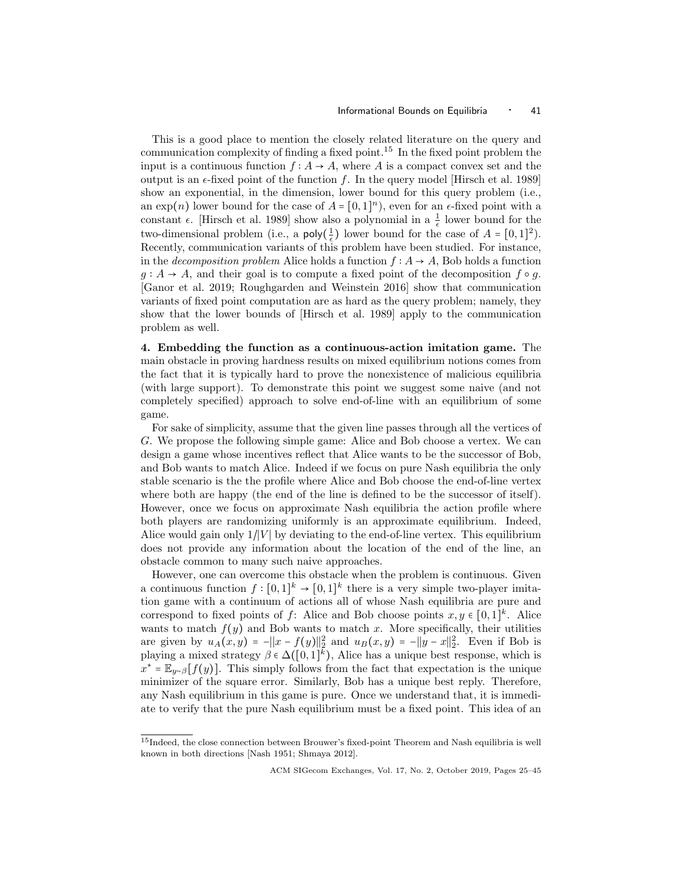#### Informational Bounds on Equilibria • 41

This is a good place to mention the closely related literature on the query and communication complexity of finding a fixed point.<sup>15</sup> In the fixed point problem the input is a continuous function  $f : A \to A$ , where A is a compact convex set and the output is an  $\epsilon$ -fixed point of the function f. In the query model [Hirsch et al. 1989] show an exponential, in the dimension, lower bound for this query problem (i.e., an  $\exp(n)$  lower bound for the case of  $A = [0,1]^n$ , even for an  $\epsilon$ -fixed point with a constant  $\epsilon$ . [Hirsch et al. 1989] show also a polynomial in a  $\frac{1}{\epsilon}$  lower bound for the two-dimensional problem (i.e., a  $\text{poly}(\frac{1}{\epsilon})$  lower bound for the case of  $A = [0,1]^2$ ). Recently, communication variants of this problem have been studied. For instance, in the *decomposition problem* Alice holds a function  $f : A \rightarrow A$ , Bob holds a function  $q: A \rightarrow A$ , and their goal is to compute a fixed point of the decomposition  $f \circ q$ . [Ganor et al. 2019; Roughgarden and Weinstein 2016] show that communication variants of fixed point computation are as hard as the query problem; namely, they show that the lower bounds of [Hirsch et al. 1989] apply to the communication problem as well.

4. Embedding the function as a continuous-action imitation game. The main obstacle in proving hardness results on mixed equilibrium notions comes from the fact that it is typically hard to prove the nonexistence of malicious equilibria (with large support). To demonstrate this point we suggest some naive (and not completely specified) approach to solve end-of-line with an equilibrium of some game.

For sake of simplicity, assume that the given line passes through all the vertices of G. We propose the following simple game: Alice and Bob choose a vertex. We can design a game whose incentives reflect that Alice wants to be the successor of Bob, and Bob wants to match Alice. Indeed if we focus on pure Nash equilibria the only stable scenario is the the profile where Alice and Bob choose the end-of-line vertex where both are happy (the end of the line is defined to be the successor of itself). However, once we focus on approximate Nash equilibria the action profile where both players are randomizing uniformly is an approximate equilibrium. Indeed, Alice would gain only  $1/|V|$  by deviating to the end-of-line vertex. This equilibrium does not provide any information about the location of the end of the line, an obstacle common to many such naive approaches.

However, one can overcome this obstacle when the problem is continuous. Given a continuous function  $f: [0,1]^k \to [0,1]^k$  there is a very simple two-player imitation game with a continuum of actions all of whose Nash equilibria are pure and correspond to fixed points of f: Alice and Bob choose points  $x, y \in [0,1]^k$ . Alice wants to match  $f(y)$  and Bob wants to match x. More specifically, their utilities are given by  $u_A(x,y) = -||x - f(y)||_2^2$  and  $u_B(x,y) = -||y - x||_2^2$ . Even if Bob is playing a mixed strategy  $\beta \in \Delta([0,1]^k)$ , Alice has a unique best response, which is  $x^* = \mathbb{E}_{y \sim \beta}[f(y)]$ . This simply follows from the fact that expectation is the unique minimizer of the square error. Similarly, Bob has a unique best reply. Therefore, any Nash equilibrium in this game is pure. Once we understand that, it is immediate to verify that the pure Nash equilibrium must be a fixed point. This idea of an

 $^{15}\mathrm{Indeed,}$  the close connection between Brouwer's fixed-point Theorem and Nash equilibria is well known in both directions [Nash 1951; Shmaya 2012].

ACM SIGecom Exchanges, Vol. 17, No. 2, October 2019, Pages 25–45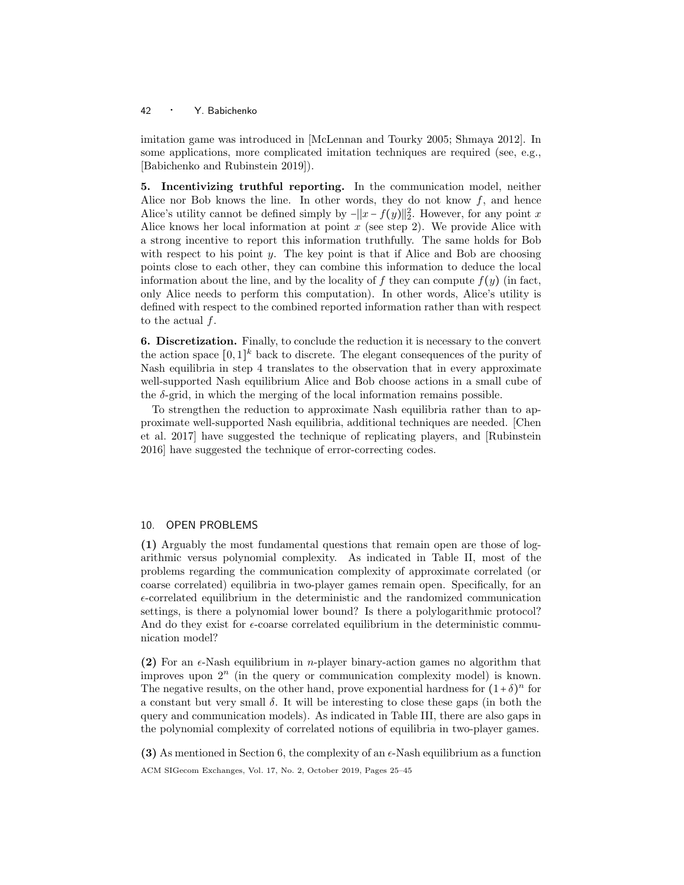imitation game was introduced in [McLennan and Tourky 2005; Shmaya 2012]. In some applications, more complicated imitation techniques are required (see, e.g., [Babichenko and Rubinstein 2019]).

5. Incentivizing truthful reporting. In the communication model, neither Alice nor Bob knows the line. In other words, they do not know  $f$ , and hence Alice's utility cannot be defined simply by  $-||x-f(y)||_2^2$ . However, for any point x Alice knows her local information at point  $x$  (see step 2). We provide Alice with a strong incentive to report this information truthfully. The same holds for Bob with respect to his point  $y$ . The key point is that if Alice and Bob are choosing points close to each other, they can combine this information to deduce the local information about the line, and by the locality of f they can compute  $f(y)$  (in fact, only Alice needs to perform this computation). In other words, Alice's utility is defined with respect to the combined reported information rather than with respect to the actual f.

6. Discretization. Finally, to conclude the reduction it is necessary to the convert the action space  $[0,1]^k$  back to discrete. The elegant consequences of the purity of Nash equilibria in step 4 translates to the observation that in every approximate well-supported Nash equilibrium Alice and Bob choose actions in a small cube of the  $\delta$ -grid, in which the merging of the local information remains possible.

To strengthen the reduction to approximate Nash equilibria rather than to approximate well-supported Nash equilibria, additional techniques are needed. [Chen et al. 2017] have suggested the technique of replicating players, and [Rubinstein 2016] have suggested the technique of error-correcting codes.

## 10. OPEN PROBLEMS

(1) Arguably the most fundamental questions that remain open are those of logarithmic versus polynomial complexity. As indicated in Table II, most of the problems regarding the communication complexity of approximate correlated (or coarse correlated) equilibria in two-player games remain open. Specifically, for an  $\epsilon$ -correlated equilibrium in the deterministic and the randomized communication settings, is there a polynomial lower bound? Is there a polylogarithmic protocol? And do they exist for  $\epsilon$ -coarse correlated equilibrium in the deterministic communication model?

(2) For an  $\epsilon$ -Nash equilibrium in *n*-player binary-action games no algorithm that improves upon  $2^n$  (in the query or communication complexity model) is known. The negative results, on the other hand, prove exponential hardness for  $(1+\delta)^n$  for a constant but very small  $\delta$ . It will be interesting to close these gaps (in both the query and communication models). As indicated in Table III, there are also gaps in the polynomial complexity of correlated notions of equilibria in two-player games.

(3) As mentioned in Section 6, the complexity of an  $\epsilon$ -Nash equilibrium as a function ACM SIGecom Exchanges, Vol. 17, No. 2, October 2019, Pages 25–45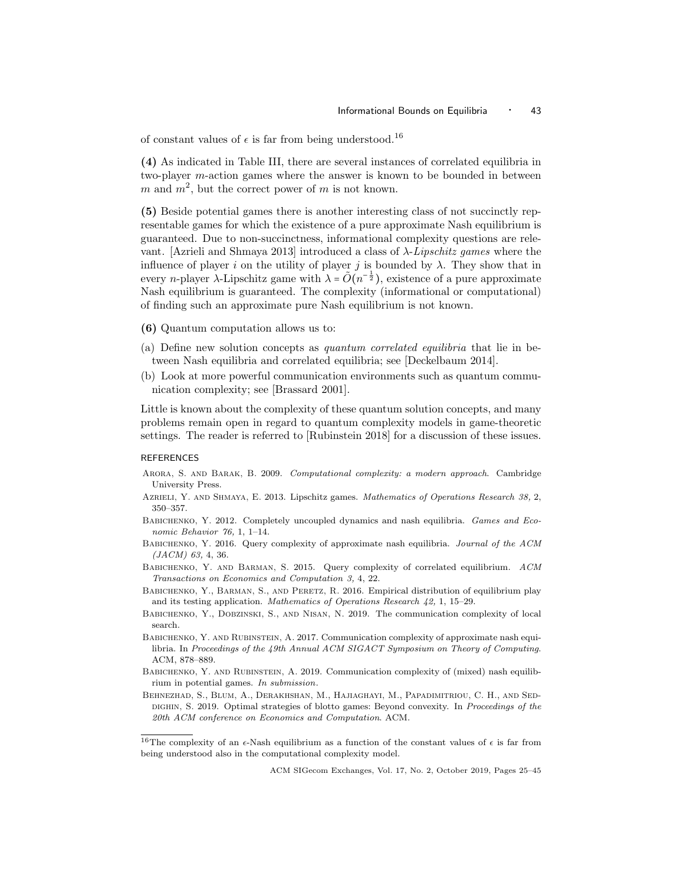of constant values of  $\epsilon$  is far from being understood.  $^{16}$ 

(4) As indicated in Table III, there are several instances of correlated equilibria in two-player m-action games where the answer is known to be bounded in between m and  $m^2$ , but the correct power of m is not known.

(5) Beside potential games there is another interesting class of not succinctly representable games for which the existence of a pure approximate Nash equilibrium is guaranteed. Due to non-succinctness, informational complexity questions are relevant. [Azrieli and Shmaya 2013] introduced a class of  $\lambda$ -Lipschitz games where the influence of player i on the utility of player j is bounded by  $\lambda$ . They show that in every *n*-player  $\lambda$ -Lipschitz game with  $\lambda = \tilde{O}(n^{-\frac{1}{2}})$ , existence of a pure approximate Nash equilibrium is guaranteed. The complexity (informational or computational) of finding such an approximate pure Nash equilibrium is not known.

- (6) Quantum computation allows us to:
- (a) Define new solution concepts as quantum correlated equilibria that lie in between Nash equilibria and correlated equilibria; see [Deckelbaum 2014].
- (b) Look at more powerful communication environments such as quantum communication complexity; see [Brassard 2001].

Little is known about the complexity of these quantum solution concepts, and many problems remain open in regard to quantum complexity models in game-theoretic settings. The reader is referred to [Rubinstein 2018] for a discussion of these issues.

## **REFERENCES**

- Arora, S. and Barak, B. 2009. Computational complexity: a modern approach. Cambridge University Press.
- AZRIELI, Y. AND SHMAYA, E. 2013. Lipschitz games. Mathematics of Operations Research 38, 2, 350–357.
- BABICHENKO, Y. 2012. Completely uncoupled dynamics and nash equilibria. Games and Economic Behavior 76, 1, 1–14.
- BABICHENKO, Y. 2016. Query complexity of approximate nash equilibria. *Journal of the ACM* (JACM) 63, 4, 36.
- BABICHENKO, Y. AND BARMAN, S. 2015. Query complexity of correlated equilibrium. ACM Transactions on Economics and Computation 3, 4, 22.
- BABICHENKO, Y., BARMAN, S., AND PERETZ, R. 2016. Empirical distribution of equilibrium play and its testing application. Mathematics of Operations Research 42, 1, 15–29.
- BABICHENKO, Y., DOBZINSKI, S., AND NISAN, N. 2019. The communication complexity of local search.
- BABICHENKO, Y. AND RUBINSTEIN, A. 2017. Communication complexity of approximate nash equilibria. In Proceedings of the 49th Annual ACM SIGACT Symposium on Theory of Computing. ACM, 878–889.
- BABICHENKO, Y. AND RUBINSTEIN, A. 2019. Communication complexity of (mixed) nash equilibrium in potential games. In submission.
- Behnezhad, S., Blum, A., Derakhshan, M., Hajiaghayi, M., Papadimitriou, C. H., and Sed-DIGHIN, S. 2019. Optimal strategies of blotto games: Beyond convexity. In Proceedings of the 20th ACM conference on Economics and Computation. ACM.

<sup>&</sup>lt;sup>16</sup>The complexity of an  $\epsilon$ -Nash equilibrium as a function of the constant values of  $\epsilon$  is far from being understood also in the computational complexity model.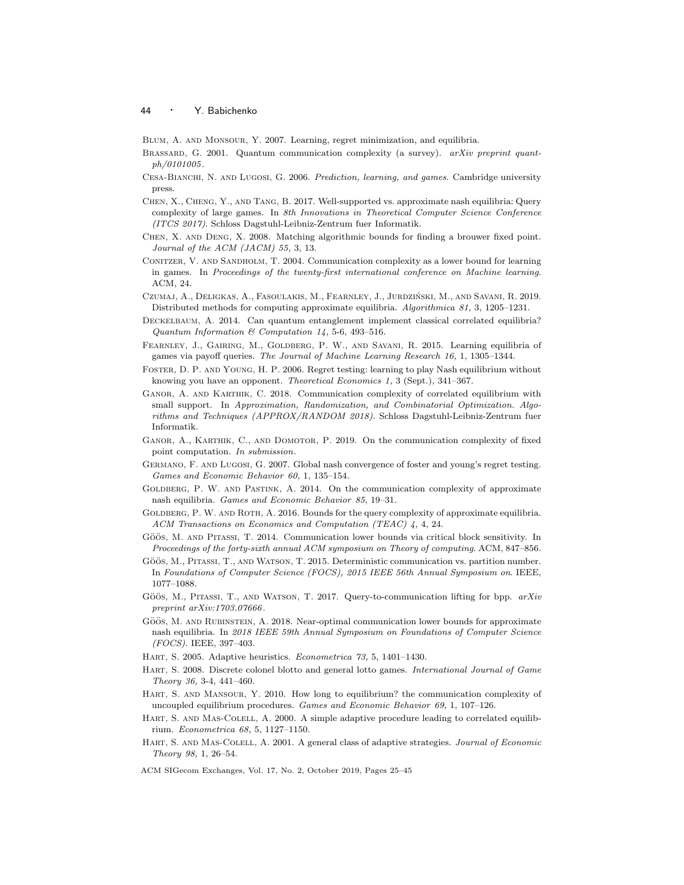Blum, A. and Monsour, Y. 2007. Learning, regret minimization, and equilibria.

- BRASSARD, G. 2001. Quantum communication complexity (a survey). arXiv preprint quantph/0101005 .
- Cesa-Bianchi, N. and Lugosi, G. 2006. Prediction, learning, and games. Cambridge university press.
- Chen, X., Cheng, Y., and Tang, B. 2017. Well-supported vs. approximate nash equilibria: Query complexity of large games. In 8th Innovations in Theoretical Computer Science Conference (ITCS 2017). Schloss Dagstuhl-Leibniz-Zentrum fuer Informatik.
- Chen, X. and Deng, X. 2008. Matching algorithmic bounds for finding a brouwer fixed point. Journal of the ACM (JACM) 55, 3, 13.
- Conitzer, V. and Sandholm, T. 2004. Communication complexity as a lower bound for learning in games. In Proceedings of the twenty-first international conference on Machine learning. ACM, 24.
- Czumaj, A., Deligkas, A., Fasoulakis, M., Fearnley, J., Jurdziński, M., and Savani, R. 2019. Distributed methods for computing approximate equilibria. Algorithmica 81, 3, 1205–1231.
- Deckelbaum, A. 2014. Can quantum entanglement implement classical correlated equilibria? Quantum Information & Computation 14, 5-6, 493-516.
- Fearnley, J., Gairing, M., Goldberg, P. W., and Savani, R. 2015. Learning equilibria of games via payoff queries. The Journal of Machine Learning Research 16, 1, 1305–1344.
- Foster, D. P. and Young, H. P. 2006. Regret testing: learning to play Nash equilibrium without knowing you have an opponent. Theoretical Economics 1, 3 (Sept.), 341–367.
- Ganor, A. and Karthik, C. 2018. Communication complexity of correlated equilibrium with small support. In Approximation, Randomization, and Combinatorial Optimization. Algorithms and Techniques (APPROX/RANDOM 2018). Schloss Dagstuhl-Leibniz-Zentrum fuer Informatik.
- Ganor, A., Karthik, C., and Domotor, P. 2019. On the communication complexity of fixed point computation. In submission.
- Germano, F. and Lugosi, G. 2007. Global nash convergence of foster and young's regret testing. Games and Economic Behavior 60, 1, 135–154.
- GOLDBERG, P. W. AND PASTINK, A. 2014. On the communication complexity of approximate nash equilibria. Games and Economic Behavior 85, 19–31.
- GOLDBERG, P. W. AND ROTH, A. 2016. Bounds for the query complexity of approximate equilibria. ACM Transactions on Economics and Computation (TEAC) 4, 4, 24.
- Göös, M. AND PITASSI, T. 2014. Communication lower bounds via critical block sensitivity. In Proceedings of the forty-sixth annual ACM symposium on Theory of computing. ACM, 847–856.
- GÖÖS, M., PITASSI, T., AND WATSON, T. 2015. Deterministic communication vs. partition number. In Foundations of Computer Science (FOCS), 2015 IEEE 56th Annual Symposium on. IEEE, 1077–1088.
- Göös, M., PITASSI, T., AND WATSON, T. 2017. Query-to-communication lifting for bpp.  $arXiv$ preprint arXiv:1703.07666 .
- GÖÖS, M. AND RUBINSTEIN, A. 2018. Near-optimal communication lower bounds for approximate nash equilibria. In 2018 IEEE 59th Annual Symposium on Foundations of Computer Science (FOCS). IEEE, 397–403.
- Hart, S. 2005. Adaptive heuristics. Econometrica 73, 5, 1401–1430.
- Hart, S. 2008. Discrete colonel blotto and general lotto games. International Journal of Game Theory 36, 3-4, 441–460.
- Hart, S. and Mansour, Y. 2010. How long to equilibrium? the communication complexity of uncoupled equilibrium procedures. Games and Economic Behavior 69, 1, 107–126.
- HART, S. AND MAS-COLELL, A. 2000. A simple adaptive procedure leading to correlated equilibrium. Econometrica 68, 5, 1127–1150.
- HART, S. AND MAS-COLELL, A. 2001. A general class of adaptive strategies. Journal of Economic Theory 98, 1, 26–54.
- ACM SIGecom Exchanges, Vol. 17, No. 2, October 2019, Pages 25–45